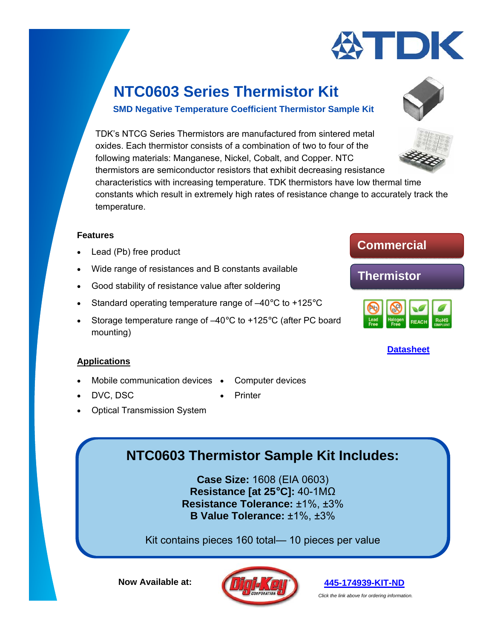

### **SMD Negative Temperature Coefficient Thermistor Sample Kit**

TDK's NTCG Series Thermistors are manufactured from sintered metal oxides. Each thermistor consists of a combination of two to four of the following materials: Manganese, Nickel, Cobalt, and Copper. NTC thermistors are semiconductor resistors that exhibit decreasing resistance characteristics with increasing temperature. TDK thermistors have low thermal time constants which result in extremely high rates of resistance change to accurately track the temperature.

#### **Features**

- Lead (Pb) free product
- Wide range of resistances and B constants available
- Good stability of resistance value after soldering
- Standard operating temperature range of  $-40^{\circ}$ C to  $+125^{\circ}$ C
- Storage temperature range of –40°C to +125°C (after PC board mounting)

### **Applications**

- Mobile communication devices Computer devices
- DVC, DSC **CONTINUES Printer** 
	- Optical Transmission System

## **NTC0603 Thermistor Sample Kit Includes:**

**Case Size:** 1608 (EIA 0603) **Resistance [at 25°C]:** 40-1MΩ **Resistance Tolerance:** ±1%, ±3% **B Value Tolerance:** ±1%, ±3%

Kit contains pieces 160 total— 10 pieces per value

**Now Available at:** 





**Commercial** 



### **[Datasheet](https://product.tdk.com/info/en/catalog/datasheets/tpd_ntc-thermistor_ntcg_en.pdf)**

**[445-174939-KIT-ND](https://www.digikey.com/products/en?keywords=445-174939-KIT-ND)** 

*Click the link above for ordering information.*